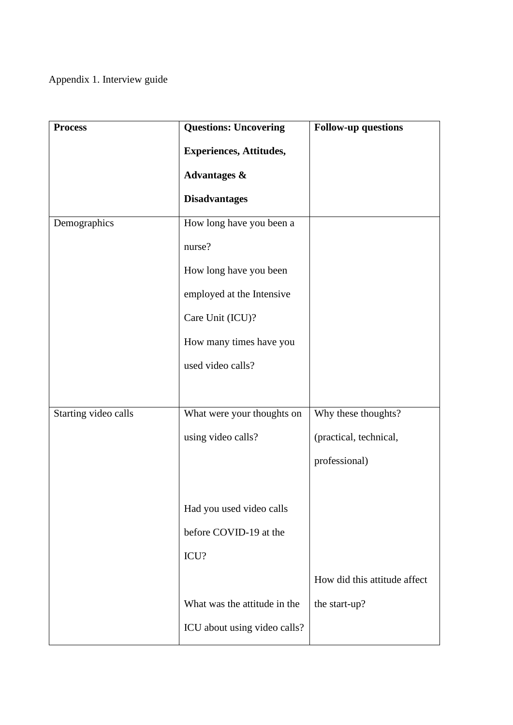Appendix 1. Interview guide

| <b>Process</b>       | <b>Questions: Uncovering</b>   | <b>Follow-up questions</b>   |
|----------------------|--------------------------------|------------------------------|
|                      | <b>Experiences, Attitudes,</b> |                              |
|                      | Advantages &                   |                              |
|                      | <b>Disadvantages</b>           |                              |
| Demographics         | How long have you been a       |                              |
|                      | nurse?                         |                              |
|                      | How long have you been         |                              |
|                      | employed at the Intensive      |                              |
|                      | Care Unit (ICU)?               |                              |
|                      | How many times have you        |                              |
|                      | used video calls?              |                              |
|                      |                                |                              |
| Starting video calls | What were your thoughts on     | Why these thoughts?          |
|                      | using video calls?             | (practical, technical,       |
|                      |                                | professional)                |
|                      |                                |                              |
|                      | Had you used video calls       |                              |
|                      | before COVID-19 at the         |                              |
|                      | ICU?                           |                              |
|                      |                                | How did this attitude affect |
|                      | What was the attitude in the   | the start-up?                |
|                      | ICU about using video calls?   |                              |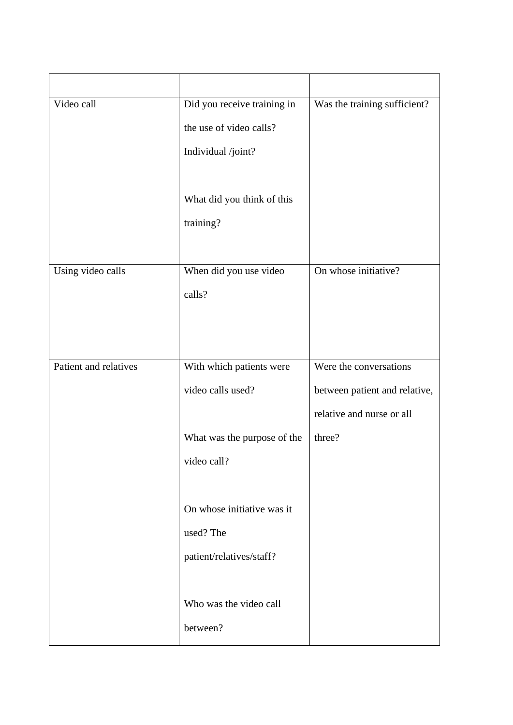| Did you receive training in | Was the training sufficient?  |
|-----------------------------|-------------------------------|
| the use of video calls?     |                               |
| Individual /joint?          |                               |
|                             |                               |
| What did you think of this  |                               |
| training?                   |                               |
|                             |                               |
| When did you use video      | On whose initiative?          |
| calls?                      |                               |
|                             |                               |
|                             |                               |
| With which patients were    | Were the conversations        |
| video calls used?           | between patient and relative, |
|                             | relative and nurse or all     |
| What was the purpose of the | three?                        |
| video call?                 |                               |
|                             |                               |
| On whose initiative was it  |                               |
| used? The                   |                               |
| patient/relatives/staff?    |                               |
|                             |                               |
| Who was the video call      |                               |
| between?                    |                               |
|                             |                               |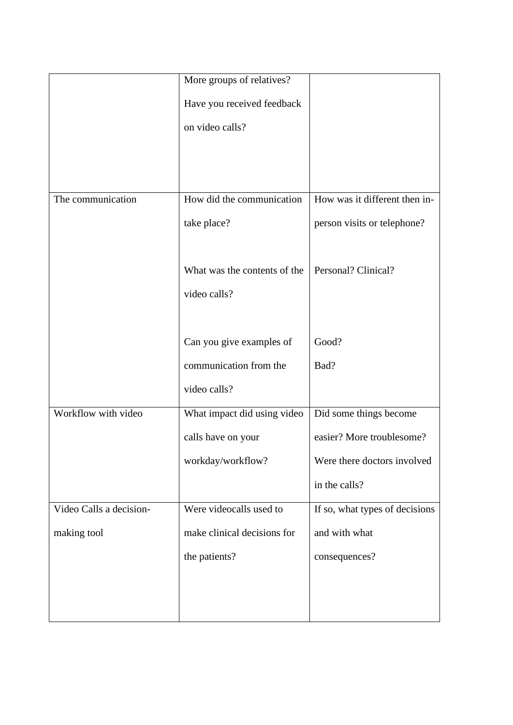|                         | More groups of relatives?    |                                |
|-------------------------|------------------------------|--------------------------------|
|                         | Have you received feedback   |                                |
|                         | on video calls?              |                                |
|                         |                              |                                |
|                         |                              |                                |
| The communication       | How did the communication    | How was it different then in-  |
|                         | take place?                  | person visits or telephone?    |
|                         |                              |                                |
|                         | What was the contents of the | Personal? Clinical?            |
|                         | video calls?                 |                                |
|                         |                              |                                |
|                         | Can you give examples of     | Good?                          |
|                         | communication from the       | Bad?                           |
|                         | video calls?                 |                                |
| Workflow with video     | What impact did using video  | Did some things become         |
|                         | calls have on your           | easier? More troublesome?      |
|                         | workday/workflow?            | Were there doctors involved    |
|                         |                              | in the calls?                  |
| Video Calls a decision- | Were videocalls used to      | If so, what types of decisions |
| making tool             | make clinical decisions for  | and with what                  |
|                         | the patients?                | consequences?                  |
|                         |                              |                                |
|                         |                              |                                |
|                         |                              |                                |